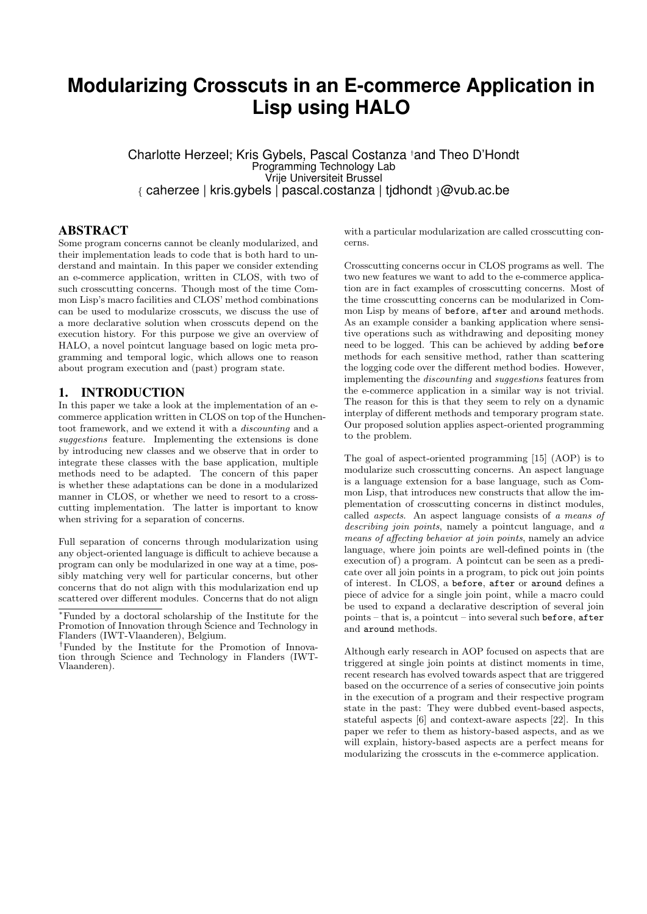# **Modularizing Crosscuts in an E-commerce Application in Lisp using HALO**

Charlotte Herzeel; Kris Gybels, Pascal Costanza <sup>†</sup>and Theo D'Hondt Programming Technology Lab Vrije Universiteit Brussel { caherzee | kris.gybels | pascal.costanza | tjdhondt }@vub.ac.be

# ABSTRACT

Some program concerns cannot be cleanly modularized, and their implementation leads to code that is both hard to understand and maintain. In this paper we consider extending an e-commerce application, written in CLOS, with two of such crosscutting concerns. Though most of the time Common Lisp's macro facilities and CLOS' method combinations can be used to modularize crosscuts, we discuss the use of a more declarative solution when crosscuts depend on the execution history. For this purpose we give an overview of HALO, a novel pointcut language based on logic meta programming and temporal logic, which allows one to reason about program execution and (past) program state.

### 1. INTRODUCTION

In this paper we take a look at the implementation of an ecommerce application written in CLOS on top of the Hunchentoot framework, and we extend it with a discounting and a suggestions feature. Implementing the extensions is done by introducing new classes and we observe that in order to integrate these classes with the base application, multiple methods need to be adapted. The concern of this paper is whether these adaptations can be done in a modularized manner in CLOS, or whether we need to resort to a crosscutting implementation. The latter is important to know when striving for a separation of concerns.

Full separation of concerns through modularization using any object-oriented language is difficult to achieve because a program can only be modularized in one way at a time, possibly matching very well for particular concerns, but other concerns that do not align with this modularization end up scattered over different modules. Concerns that do not align

with a particular modularization are called crosscutting concerns.

Crosscutting concerns occur in CLOS programs as well. The two new features we want to add to the e-commerce application are in fact examples of crosscutting concerns. Most of the time crosscutting concerns can be modularized in Common Lisp by means of before, after and around methods. As an example consider a banking application where sensitive operations such as withdrawing and depositing money need to be logged. This can be achieved by adding before methods for each sensitive method, rather than scattering the logging code over the different method bodies. However, implementing the discounting and suggestions features from the e-commerce application in a similar way is not trivial. The reason for this is that they seem to rely on a dynamic interplay of different methods and temporary program state. Our proposed solution applies aspect-oriented programming to the problem.

The goal of aspect-oriented programming [15] (AOP) is to modularize such crosscutting concerns. An aspect language is a language extension for a base language, such as Common Lisp, that introduces new constructs that allow the implementation of crosscutting concerns in distinct modules, called aspects. An aspect language consists of a means of describing join points, namely a pointcut language, and a means of affecting behavior at join points, namely an advice language, where join points are well-defined points in (the execution of) a program. A pointcut can be seen as a predicate over all join points in a program, to pick out join points of interest. In CLOS, a before, after or around defines a piece of advice for a single join point, while a macro could be used to expand a declarative description of several join points – that is, a pointcut – into several such before, after and around methods.

Although early research in AOP focused on aspects that are triggered at single join points at distinct moments in time, recent research has evolved towards aspect that are triggered based on the occurrence of a series of consecutive join points in the execution of a program and their respective program state in the past: They were dubbed event-based aspects, stateful aspects [6] and context-aware aspects [22]. In this paper we refer to them as history-based aspects, and as we will explain, history-based aspects are a perfect means for modularizing the crosscuts in the e-commerce application.

<sup>∗</sup>Funded by a doctoral scholarship of the Institute for the Promotion of Innovation through Science and Technology in Flanders (IWT-Vlaanderen), Belgium.

<sup>†</sup>Funded by the Institute for the Promotion of Innovation through Science and Technology in Flanders (IWT-Vlaanderen).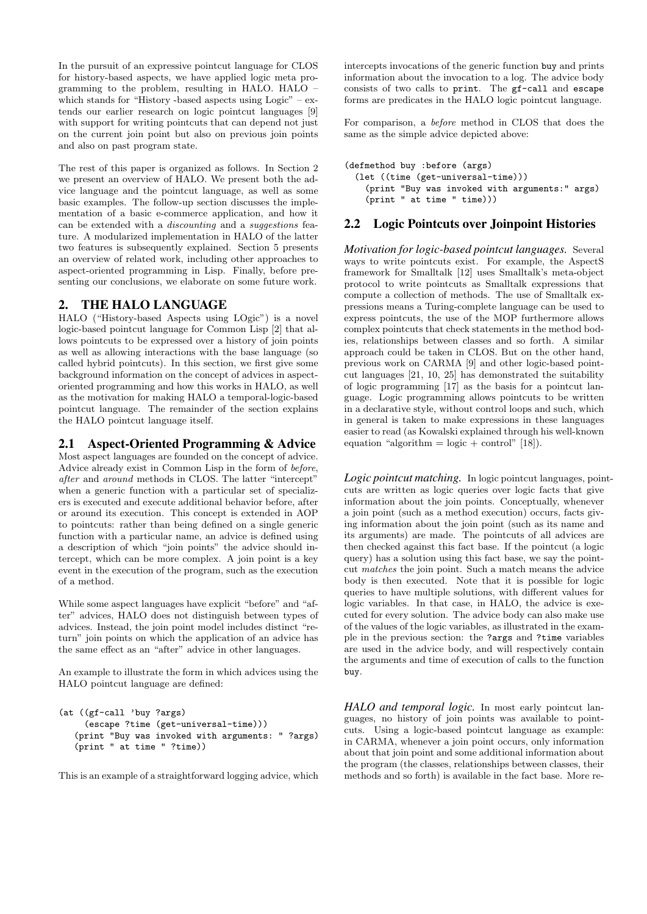In the pursuit of an expressive pointcut language for CLOS for history-based aspects, we have applied logic meta programming to the problem, resulting in HALO. HALO – which stands for "History -based aspects using Logic" – extends our earlier research on logic pointcut languages [9] with support for writing pointcuts that can depend not just on the current join point but also on previous join points and also on past program state.

The rest of this paper is organized as follows. In Section 2 we present an overview of HALO. We present both the advice language and the pointcut language, as well as some basic examples. The follow-up section discusses the implementation of a basic e-commerce application, and how it can be extended with a discounting and a suggestions feature. A modularized implementation in HALO of the latter two features is subsequently explained. Section 5 presents an overview of related work, including other approaches to aspect-oriented programming in Lisp. Finally, before presenting our conclusions, we elaborate on some future work.

# 2. THE HALO LANGUAGE

HALO ("History-based Aspects using LOgic") is a novel logic-based pointcut language for Common Lisp [2] that allows pointcuts to be expressed over a history of join points as well as allowing interactions with the base language (so called hybrid pointcuts). In this section, we first give some background information on the concept of advices in aspectoriented programming and how this works in HALO, as well as the motivation for making HALO a temporal-logic-based pointcut language. The remainder of the section explains the HALO pointcut language itself.

# 2.1 Aspect-Oriented Programming & Advice

Most aspect languages are founded on the concept of advice. Advice already exist in Common Lisp in the form of before, after and around methods in CLOS. The latter "intercept" when a generic function with a particular set of specializers is executed and execute additional behavior before, after or around its execution. This concept is extended in AOP to pointcuts: rather than being defined on a single generic function with a particular name, an advice is defined using a description of which "join points" the advice should intercept, which can be more complex. A join point is a key event in the execution of the program, such as the execution of a method.

While some aspect languages have explicit "before" and "after" advices, HALO does not distinguish between types of advices. Instead, the join point model includes distinct "return" join points on which the application of an advice has the same effect as an "after" advice in other languages.

An example to illustrate the form in which advices using the HALO pointcut language are defined:

```
(at ((gf-call 'buy ?args)
     (escape ?time (get-universal-time)))
   (print "Buy was invoked with arguments: " ?args)
  (print " at time " ?time))
```
This is an example of a straightforward logging advice, which

intercepts invocations of the generic function buy and prints information about the invocation to a log. The advice body consists of two calls to print. The gf-call and escape forms are predicates in the HALO logic pointcut language.

For comparison, a before method in CLOS that does the same as the simple advice depicted above:

```
(defmethod buy :before (args)
  (let ((time (get-universal-time)))
    (print "Buy was invoked with arguments:" args)
    (print " at time " time)))
```
### 2.2 Logic Pointcuts over Joinpoint Histories

*Motivation for logic-based pointcut languages.* Several ways to write pointcuts exist. For example, the AspectS framework for Smalltalk [12] uses Smalltalk's meta-object protocol to write pointcuts as Smalltalk expressions that compute a collection of methods. The use of Smalltalk expressions means a Turing-complete language can be used to express pointcuts, the use of the MOP furthermore allows complex pointcuts that check statements in the method bodies, relationships between classes and so forth. A similar approach could be taken in CLOS. But on the other hand, previous work on CARMA [9] and other logic-based pointcut languages [21, 10, 25] has demonstrated the suitability of logic programming [17] as the basis for a pointcut language. Logic programming allows pointcuts to be written in a declarative style, without control loops and such, which in general is taken to make expressions in these languages easier to read (as Kowalski explained through his well-known equation "algorithm =  $logic + control$ " [18]).

*Logic pointcut matching.* In logic pointcut languages, pointcuts are written as logic queries over logic facts that give information about the join points. Conceptually, whenever a join point (such as a method execution) occurs, facts giving information about the join point (such as its name and its arguments) are made. The pointcuts of all advices are then checked against this fact base. If the pointcut (a logic query) has a solution using this fact base, we say the pointcut matches the join point. Such a match means the advice body is then executed. Note that it is possible for logic queries to have multiple solutions, with different values for logic variables. In that case, in HALO, the advice is executed for every solution. The advice body can also make use of the values of the logic variables, as illustrated in the example in the previous section: the ?args and ?time variables are used in the advice body, and will respectively contain the arguments and time of execution of calls to the function buy.

*HALO and temporal logic.* In most early pointcut languages, no history of join points was available to pointcuts. Using a logic-based pointcut language as example: in CARMA, whenever a join point occurs, only information about that join point and some additional information about the program (the classes, relationships between classes, their methods and so forth) is available in the fact base. More re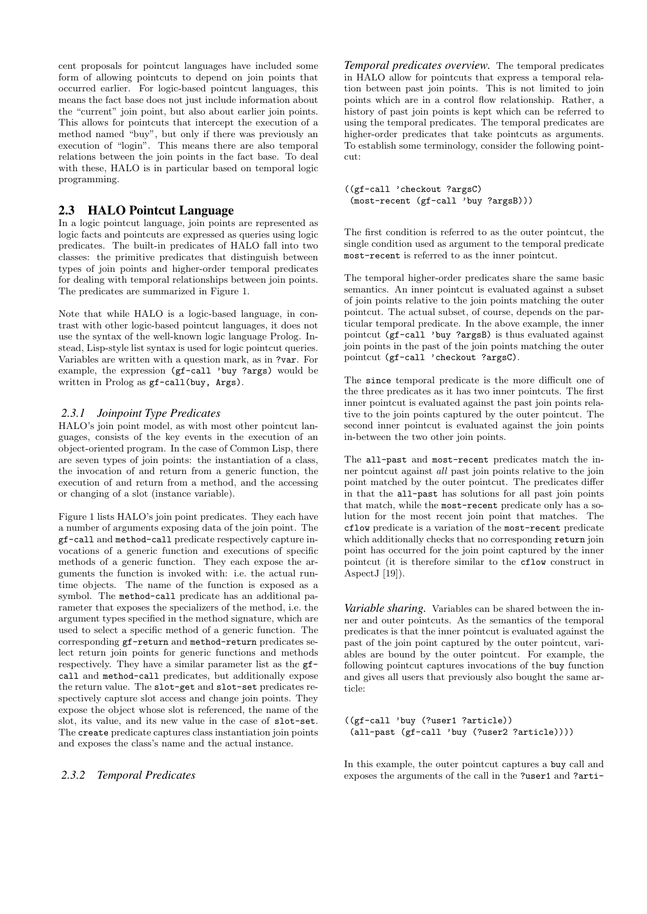cent proposals for pointcut languages have included some form of allowing pointcuts to depend on join points that occurred earlier. For logic-based pointcut languages, this means the fact base does not just include information about the "current" join point, but also about earlier join points. This allows for pointcuts that intercept the execution of a method named "buy", but only if there was previously an execution of "login". This means there are also temporal relations between the join points in the fact base. To deal with these, HALO is in particular based on temporal logic programming.

# 2.3 HALO Pointcut Language

In a logic pointcut language, join points are represented as logic facts and pointcuts are expressed as queries using logic predicates. The built-in predicates of HALO fall into two classes: the primitive predicates that distinguish between types of join points and higher-order temporal predicates for dealing with temporal relationships between join points. The predicates are summarized in Figure 1.

Note that while HALO is a logic-based language, in contrast with other logic-based pointcut languages, it does not use the syntax of the well-known logic language Prolog. Instead, Lisp-style list syntax is used for logic pointcut queries. Variables are written with a question mark, as in ?var. For example, the expression (gf-call 'buy ?args) would be written in Prolog as  $gf-call(buy, Args)$ .

### *2.3.1 Joinpoint Type Predicates*

HALO's join point model, as with most other pointcut languages, consists of the key events in the execution of an object-oriented program. In the case of Common Lisp, there are seven types of join points: the instantiation of a class, the invocation of and return from a generic function, the execution of and return from a method, and the accessing or changing of a slot (instance variable).

Figure 1 lists HALO's join point predicates. They each have a number of arguments exposing data of the join point. The gf-call and method-call predicate respectively capture invocations of a generic function and executions of specific methods of a generic function. They each expose the arguments the function is invoked with: i.e. the actual runtime objects. The name of the function is exposed as a symbol. The method-call predicate has an additional parameter that exposes the specializers of the method, i.e. the argument types specified in the method signature, which are used to select a specific method of a generic function. The corresponding gf-return and method-return predicates select return join points for generic functions and methods respectively. They have a similar parameter list as the gfcall and method-call predicates, but additionally expose the return value. The slot-get and slot-set predicates respectively capture slot access and change join points. They expose the object whose slot is referenced, the name of the slot, its value, and its new value in the case of slot-set. The create predicate captures class instantiation join points and exposes the class's name and the actual instance.

# *2.3.2 Temporal Predicates*

*Temporal predicates overview.* The temporal predicates in HALO allow for pointcuts that express a temporal relation between past join points. This is not limited to join points which are in a control flow relationship. Rather, a history of past join points is kept which can be referred to using the temporal predicates. The temporal predicates are higher-order predicates that take pointcuts as arguments. To establish some terminology, consider the following pointcut:

```
((gf-call 'checkout ?argsC)
(most-recent (gf-call 'buy ?argsB)))
```
The first condition is referred to as the outer pointcut, the single condition used as argument to the temporal predicate most-recent is referred to as the inner pointcut.

The temporal higher-order predicates share the same basic semantics. An inner pointcut is evaluated against a subset of join points relative to the join points matching the outer pointcut. The actual subset, of course, depends on the particular temporal predicate. In the above example, the inner pointcut (gf-call 'buy ?argsB) is thus evaluated against join points in the past of the join points matching the outer pointcut (gf-call 'checkout ?argsC).

The since temporal predicate is the more difficult one of the three predicates as it has two inner pointcuts. The first inner pointcut is evaluated against the past join points relative to the join points captured by the outer pointcut. The second inner pointcut is evaluated against the join points in-between the two other join points.

The all-past and most-recent predicates match the inner pointcut against all past join points relative to the join point matched by the outer pointcut. The predicates differ in that the all-past has solutions for all past join points that match, while the most-recent predicate only has a solution for the most recent join point that matches. The cflow predicate is a variation of the most-recent predicate which additionally checks that no corresponding return join point has occurred for the join point captured by the inner pointcut (it is therefore similar to the cflow construct in AspectJ [19]).

*Variable sharing.* Variables can be shared between the inner and outer pointcuts. As the semantics of the temporal predicates is that the inner pointcut is evaluated against the past of the join point captured by the outer pointcut, variables are bound by the outer pointcut. For example, the following pointcut captures invocations of the buy function and gives all users that previously also bought the same article:

((gf-call 'buy (?user1 ?article)) (all-past (gf-call 'buy (?user2 ?article))))

In this example, the outer pointcut captures a buy call and exposes the arguments of the call in the ?user1 and ?arti-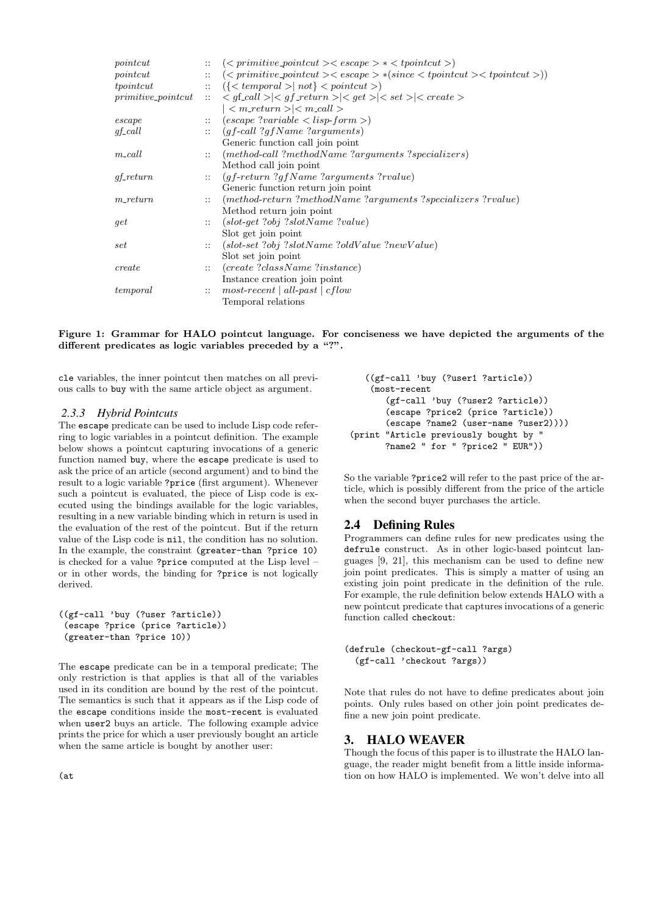| pointcut        | $\mathbb{R}^2$            | $(primitive-point cut > escape > * tpointcut >)$                               |
|-----------------|---------------------------|--------------------------------------------------------------------------------|
| pointcut        | $\mathbb{N}^{\mathbb{N}}$ | $(primitive-point cut > escape > *(since < tpointcut > tpointcut >))$          |
| toointcut       |                           | $\therefore$ ({< temporal >  not} < pointcut >)                                |
|                 |                           | primitive_pointcut :: < gf_call >  < gf_return >  < get >  < set >  < create > |
|                 |                           | $ m return > m call$                                                           |
| $\emph{escape}$ | $\mathbb{R}^2$            | $(escape ?variable < lisp-form >)$                                             |
| $qf\_{call}$    | $\mathbb{R}^{\bullet}$    | $(qf\text{-}call ?qfName ?arquments)$                                          |
|                 |                           | Generic function call join point                                               |
| $m_{call}$      | $\dddot{\mathbf{r}}$      | $(method-call ?methodName? arguments ?specializers)$                           |
|                 |                           | Method call join point                                                         |
| $q$ f_return    | $\dddot{\mathbf{r}}$      | $(gf-return ?gfName ? arguments ?rvalue)$                                      |
|                 |                           | Generic function return join point                                             |
| $m\_return$     | $\mathbb{R}^{\bullet}$    | (method-return ?methodName ?arguments ?specializers ?rvalue)                   |
|                 |                           | Method return join point                                                       |
| qet             | $\dddot{\mathbf{r}}$      | $(slot-qet ?obj ?slotName ?value)$                                             |
|                 |                           | Solt get join point                                                            |
| set             | $\mathbb{R}^2$            | $(slot-set ?obj ?slotName ?oldValue ?newValue)$                                |
|                 |                           | Solt set join point                                                            |
| create          | $\mathbb{R}^{\bullet}$    | (create ?className ?instance)                                                  |
|                 |                           | Instance creation join point                                                   |
| temporal        | $\mathbb{R}$              | $most-recent   all-past   cflow$                                               |
|                 |                           | Temporal relations                                                             |

Figure 1: Grammar for HALO pointcut language. For conciseness we have depicted the arguments of the different predicates as logic variables preceded by a "?".

cle variables, the inner pointcut then matches on all previous calls to buy with the same article object as argument.

#### *2.3.3 Hybrid Pointcuts*

The escape predicate can be used to include Lisp code referring to logic variables in a pointcut definition. The example below shows a pointcut capturing invocations of a generic function named buy, where the escape predicate is used to ask the price of an article (second argument) and to bind the result to a logic variable ?price (first argument). Whenever such a pointcut is evaluated, the piece of Lisp code is executed using the bindings available for the logic variables, resulting in a new variable binding which in return is used in the evaluation of the rest of the pointcut. But if the return value of the Lisp code is nil, the condition has no solution. In the example, the constraint (greater-than ?price 10) is checked for a value ?price computed at the Lisp level – or in other words, the binding for ?price is not logically derived.

```
((gf-call 'buy (?user ?article))
 (escape ?price (price ?article))
(greater-than ?price 10))
```
The escape predicate can be in a temporal predicate; The only restriction is that applies is that all of the variables used in its condition are bound by the rest of the pointcut. The semantics is such that it appears as if the Lisp code of the escape conditions inside the most-recent is evaluated when user2 buys an article. The following example advice prints the price for which a user previously bought an article when the same article is bought by another user:

((gf-call 'buy (?user1 ?article)) (most-recent (gf-call 'buy (?user2 ?article)) (escape ?price2 (price ?article)) (escape ?name2 (user-name ?user2)))) (print "Article previously bought by " ?name2 " for " ?price2 " EUR"))

So the variable ?price2 will refer to the past price of the article, which is possibly different from the price of the article when the second buyer purchases the article.

#### 2.4 Defining Rules

Programmers can define rules for new predicates using the defrule construct. As in other logic-based pointcut languages [9, 21], this mechanism can be used to define new join point predicates. This is simply a matter of using an existing join point predicate in the definition of the rule. For example, the rule definition below extends HALO with a new pointcut predicate that captures invocations of a generic function called checkout:

```
(defrule (checkout-gf-call ?args)
  (gf-call 'checkout ?args))
```
Note that rules do not have to define predicates about join points. Only rules based on other join point predicates define a new join point predicate.

#### 3. HALO WEAVER

Though the focus of this paper is to illustrate the HALO language, the reader might benefit from a little inside information on how HALO is implemented. We won't delve into all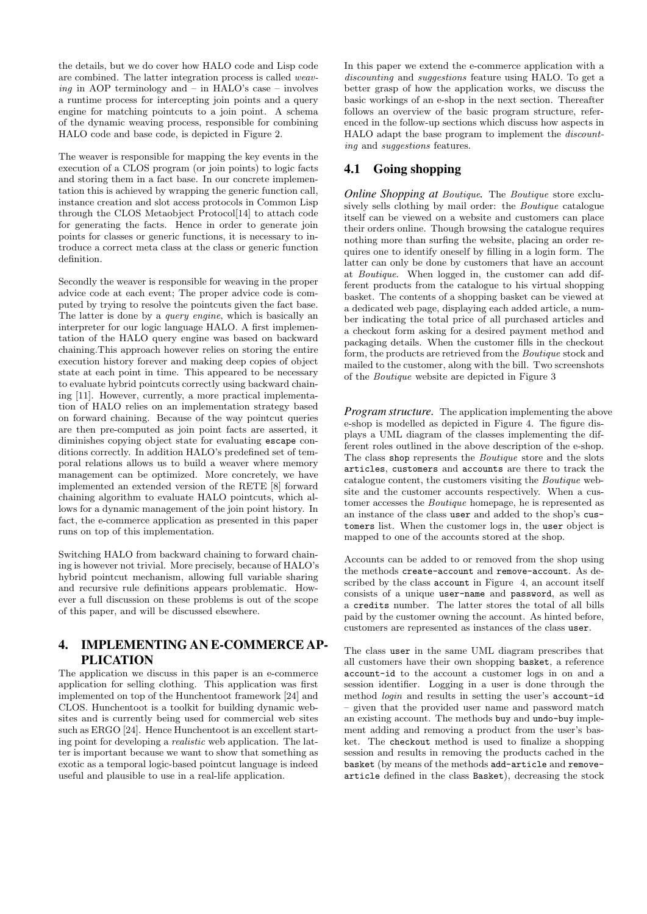the details, but we do cover how HALO code and Lisp code are combined. The latter integration process is called weaving in AOP terminology and – in HALO's case – involves a runtime process for intercepting join points and a query engine for matching pointcuts to a join point. A schema of the dynamic weaving process, responsible for combining HALO code and base code, is depicted in Figure 2.

The weaver is responsible for mapping the key events in the execution of a CLOS program (or join points) to logic facts and storing them in a fact base. In our concrete implementation this is achieved by wrapping the generic function call, instance creation and slot access protocols in Common Lisp through the CLOS Metaobject Protocol[14] to attach code for generating the facts. Hence in order to generate join points for classes or generic functions, it is necessary to introduce a correct meta class at the class or generic function definition.

Secondly the weaver is responsible for weaving in the proper advice code at each event; The proper advice code is computed by trying to resolve the pointcuts given the fact base. The latter is done by a query engine, which is basically an interpreter for our logic language HALO. A first implementation of the HALO query engine was based on backward chaining.This approach however relies on storing the entire execution history forever and making deep copies of object state at each point in time. This appeared to be necessary to evaluate hybrid pointcuts correctly using backward chaining [11]. However, currently, a more practical implementation of HALO relies on an implementation strategy based on forward chaining. Because of the way pointcut queries are then pre-computed as join point facts are asserted, it diminishes copying object state for evaluating escape conditions correctly. In addition HALO's predefined set of temporal relations allows us to build a weaver where memory management can be optimized. More concretely, we have implemented an extended version of the RETE [8] forward chaining algorithm to evaluate HALO pointcuts, which allows for a dynamic management of the join point history. In fact, the e-commerce application as presented in this paper runs on top of this implementation.

Switching HALO from backward chaining to forward chaining is however not trivial. More precisely, because of HALO's hybrid pointcut mechanism, allowing full variable sharing and recursive rule definitions appears problematic. However a full discussion on these problems is out of the scope of this paper, and will be discussed elsewhere.

# 4. IMPLEMENTING AN E-COMMERCE AP-PLICATION

The application we discuss in this paper is an e-commerce application for selling clothing. This application was first implemented on top of the Hunchentoot framework [24] and CLOS. Hunchentoot is a toolkit for building dynamic websites and is currently being used for commercial web sites such as ERGO [24]. Hence Hunchentoot is an excellent starting point for developing a realistic web application. The latter is important because we want to show that something as exotic as a temporal logic-based pointcut language is indeed useful and plausible to use in a real-life application.

In this paper we extend the e-commerce application with a discounting and *suggestions* feature using HALO. To get a better grasp of how the application works, we discuss the basic workings of an e-shop in the next section. Thereafter follows an overview of the basic program structure, referenced in the follow-up sections which discuss how aspects in HALO adapt the base program to implement the discounting and suggestions features.

# 4.1 Going shopping

*Online Shopping at* Boutique*.* The Boutique store exclusively sells clothing by mail order: the Boutique catalogue itself can be viewed on a website and customers can place their orders online. Though browsing the catalogue requires nothing more than surfing the website, placing an order requires one to identify oneself by filling in a login form. The latter can only be done by customers that have an account at Boutique. When logged in, the customer can add different products from the catalogue to his virtual shopping basket. The contents of a shopping basket can be viewed at a dedicated web page, displaying each added article, a number indicating the total price of all purchased articles and a checkout form asking for a desired payment method and packaging details. When the customer fills in the checkout form, the products are retrieved from the *Boutique* stock and mailed to the customer, along with the bill. Two screenshots of the Boutique website are depicted in Figure 3

*Program structure.* The application implementing the above e-shop is modelled as depicted in Figure 4. The figure displays a UML diagram of the classes implementing the different roles outlined in the above description of the e-shop. The class shop represents the Boutique store and the slots articles, customers and accounts are there to track the catalogue content, the customers visiting the Boutique website and the customer accounts respectively. When a customer accesses the Boutique homepage, he is represented as an instance of the class user and added to the shop's customers list. When the customer logs in, the user object is mapped to one of the accounts stored at the shop.

Accounts can be added to or removed from the shop using the methods create-account and remove-account. As described by the class account in Figure 4, an account itself consists of a unique user-name and password, as well as a credits number. The latter stores the total of all bills paid by the customer owning the account. As hinted before, customers are represented as instances of the class user.

The class user in the same UML diagram prescribes that all customers have their own shopping basket, a reference account-id to the account a customer logs in on and a session identifier. Logging in a user is done through the method login and results in setting the user's account-id – given that the provided user name and password match an existing account. The methods buy and undo-buy implement adding and removing a product from the user's basket. The checkout method is used to finalize a shopping session and results in removing the products cached in the basket (by means of the methods add-article and removearticle defined in the class Basket), decreasing the stock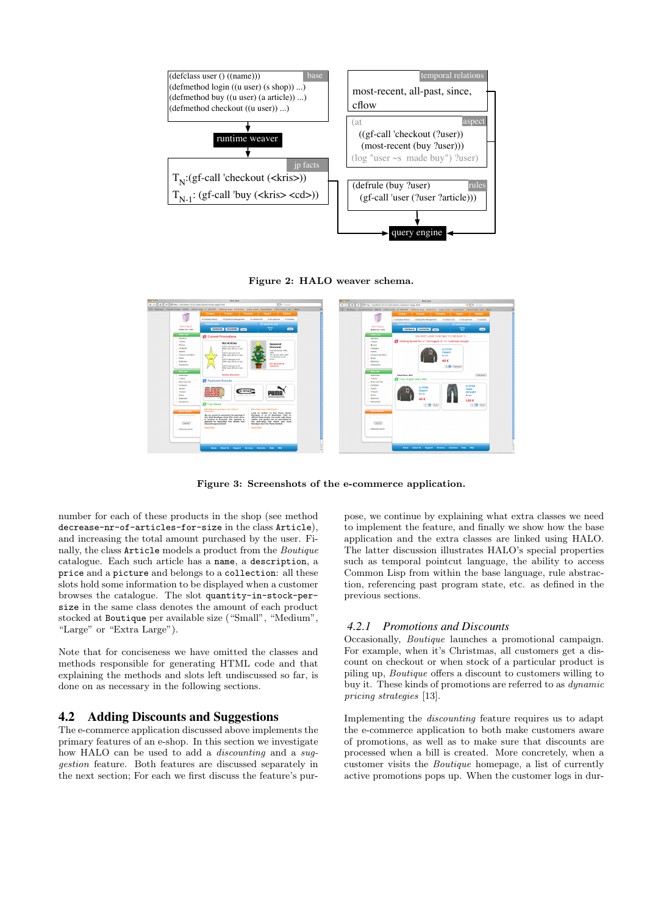

Figure 2: HALO weaver schema.



Figure 3: Screenshots of the e-commerce application.

number for each of these products in the shop (see method decrease-nr-of-articles-for-size in the class Article), and increasing the total amount purchased by the user. Finally, the class Article models a product from the Boutique catalogue. Each such article has a name, a description, a price and a picture and belongs to a collection: all these slots hold some information to be displayed when a customer browses the catalogue. The slot quantity-in-stock-persize in the same class denotes the amount of each product stocked at Boutique per available size ("Small", "Medium", "Large" or "Extra Large").

Note that for conciseness we have omitted the classes and methods responsible for generating HTML code and that explaining the methods and slots left undiscussed so far, is done on as necessary in the following sections.

### 4.2 Adding Discounts and Suggestions

The e-commerce application discussed above implements the primary features of an e-shop. In this section we investigate how HALO can be used to add a *discounting* and a suggestion feature. Both features are discussed separately in the next section; For each we first discuss the feature's pur-

pose, we continue by explaining what extra classes we need to implement the feature, and finally we show how the base application and the extra classes are linked using HALO. The latter discussion illustrates HALO's special properties such as temporal pointcut language, the ability to access Common Lisp from within the base language, rule abstraction, referencing past program state, etc. as defined in the previous sections.

#### *4.2.1 Promotions and Discounts*

Occasionally, Boutique launches a promotional campaign. For example, when it's Christmas, all customers get a discount on checkout or when stock of a particular product is piling up, Boutique offers a discount to customers willing to buy it. These kinds of promotions are referred to as dynamic pricing strategies [13].

Implementing the discounting feature requires us to adapt the e-commerce application to both make customers aware of promotions, as well as to make sure that discounts are processed when a bill is created. More concretely, when a customer visits the Boutique homepage, a list of currently active promotions pops up. When the customer logs in dur-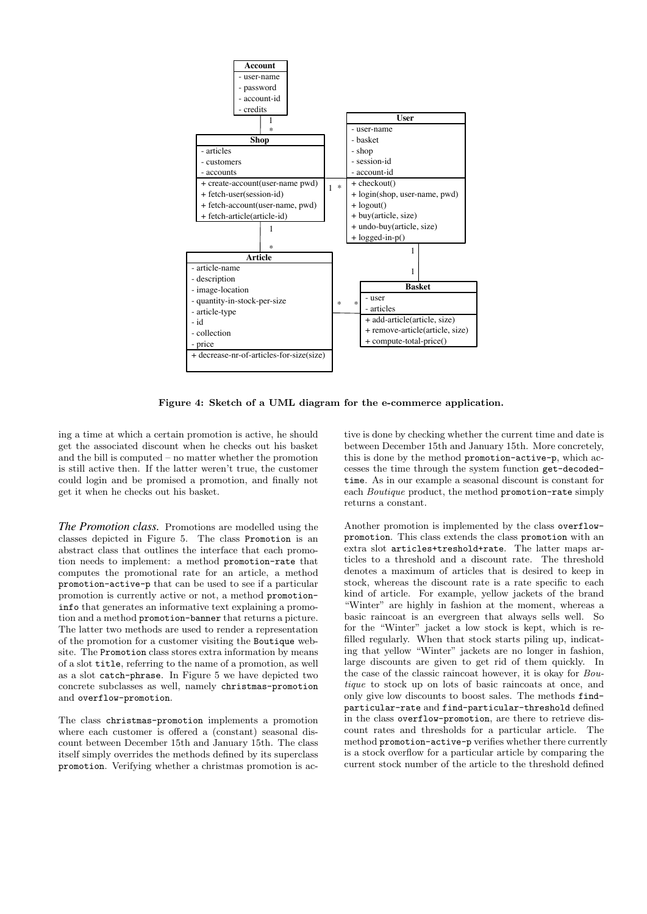

Figure 4: Sketch of a UML diagram for the e-commerce application.

ing a time at which a certain promotion is active, he should get the associated discount when he checks out his basket and the bill is computed – no matter whether the promotion is still active then. If the latter weren't true, the customer could login and be promised a promotion, and finally not get it when he checks out his basket.

*The Promotion class.* Promotions are modelled using the classes depicted in Figure 5. The class Promotion is an abstract class that outlines the interface that each promotion needs to implement: a method promotion-rate that computes the promotional rate for an article, a method promotion-active-p that can be used to see if a particular promotion is currently active or not, a method promotioninfo that generates an informative text explaining a promotion and a method promotion-banner that returns a picture. The latter two methods are used to render a representation of the promotion for a customer visiting the Boutique website. The Promotion class stores extra information by means of a slot title, referring to the name of a promotion, as well as a slot catch-phrase. In Figure 5 we have depicted two concrete subclasses as well, namely christmas-promotion and overflow-promotion.

The class christmas-promotion implements a promotion where each customer is offered a (constant) seasonal discount between December 15th and January 15th. The class itself simply overrides the methods defined by its superclass promotion. Verifying whether a christmas promotion is active is done by checking whether the current time and date is between December 15th and January 15th. More concretely, this is done by the method promotion-active-p, which accesses the time through the system function get-decodedtime. As in our example a seasonal discount is constant for each Boutique product, the method promotion-rate simply returns a constant.

Another promotion is implemented by the class overflowpromotion. This class extends the class promotion with an extra slot articles+treshold+rate. The latter maps articles to a threshold and a discount rate. The threshold denotes a maximum of articles that is desired to keep in stock, whereas the discount rate is a rate specific to each kind of article. For example, yellow jackets of the brand "Winter" are highly in fashion at the moment, whereas a basic raincoat is an evergreen that always sells well. So for the "Winter" jacket a low stock is kept, which is refilled regularly. When that stock starts piling up, indicating that yellow "Winter" jackets are no longer in fashion, large discounts are given to get rid of them quickly. In the case of the classic raincoat however, it is okay for Boutique to stock up on lots of basic raincoats at once, and only give low discounts to boost sales. The methods findparticular-rate and find-particular-threshold defined in the class overflow-promotion, are there to retrieve discount rates and thresholds for a particular article. The method promotion-active-p verifies whether there currently is a stock overflow for a particular article by comparing the current stock number of the article to the threshold defined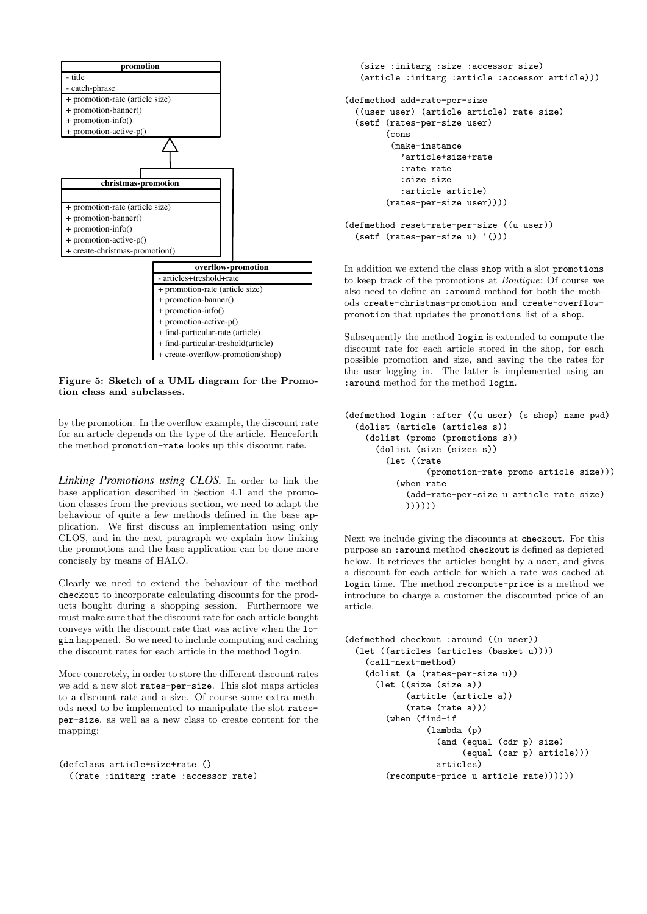

Figure 5: Sketch of a UML diagram for the Promotion class and subclasses.

by the promotion. In the overflow example, the discount rate for an article depends on the type of the article. Henceforth the method promotion-rate looks up this discount rate.

*Linking Promotions using CLOS.* In order to link the base application described in Section 4.1 and the promotion classes from the previous section, we need to adapt the behaviour of quite a few methods defined in the base application. We first discuss an implementation using only CLOS, and in the next paragraph we explain how linking the promotions and the base application can be done more concisely by means of HALO.

Clearly we need to extend the behaviour of the method checkout to incorporate calculating discounts for the products bought during a shopping session. Furthermore we must make sure that the discount rate for each article bought conveys with the discount rate that was active when the login happened. So we need to include computing and caching the discount rates for each article in the method login.

More concretely, in order to store the different discount rates we add a new slot rates-per-size. This slot maps articles to a discount rate and a size. Of course some extra methods need to be implemented to manipulate the slot ratesper-size, as well as a new class to create content for the mapping:

```
(defclass article+size+rate ()
  ((rate :initarg :rate :accessor rate)
```

```
(size :initarg :size :accessor size)
   (article :initarg :article :accessor article)))
(defmethod add-rate-per-size
  ((user user) (article article) rate size)
  (setf (rates-per-size user)
        (cons
         (make-instance
           'article+size+rate
           :rate rate
           :size size
           :article article)
        (rates-per-size user))))
(defmethod reset-rate-per-size ((u user))
  (setf (rates-per-size u) '())
```
In addition we extend the class shop with a slot promotions to keep track of the promotions at Boutique; Of course we also need to define an :around method for both the methods create-christmas-promotion and create-overflowpromotion that updates the promotions list of a shop.

Subsequently the method login is extended to compute the discount rate for each article stored in the shop, for each possible promotion and size, and saving the the rates for the user logging in. The latter is implemented using an :around method for the method login.

```
(defmethod login :after ((u user) (s shop) name pwd)
  (dolist (article (articles s))
    (dolist (promo (promotions s))
      (dolist (size (sizes s))
        (let ((rate
                (promotion-rate promo article size)))
          (when rate
            (add-rate-per-size u article rate size)
            ))))))
```
Next we include giving the discounts at checkout. For this purpose an :around method checkout is defined as depicted below. It retrieves the articles bought by a user, and gives a discount for each article for which a rate was cached at login time. The method recompute-price is a method we introduce to charge a customer the discounted price of an article.

```
(defmethod checkout :around ((u user))
  (let ((articles (articles (basket u))))
    (call-next-method)
    (dolist (a (rates-per-size u))
      (let ((size (size a))
            (article (article a))
            (rate (rate a)))
        (when (find-if
                (lambda (p)
                  (and (equal (cdr p) size)
                       (equal (car p) article)))
                  articles)
        (recompute-price u article rate))))))
```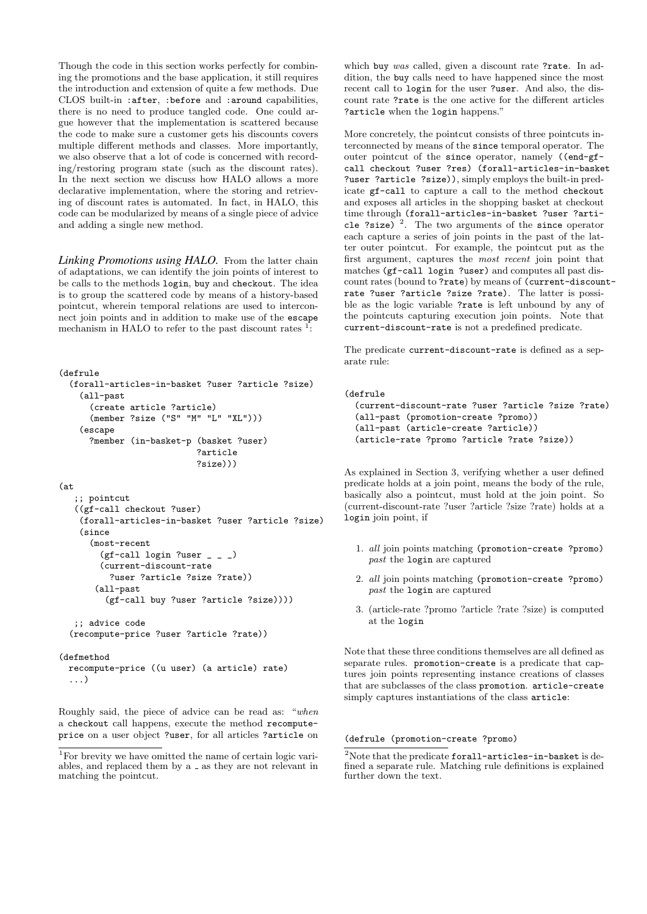Though the code in this section works perfectly for combining the promotions and the base application, it still requires the introduction and extension of quite a few methods. Due CLOS built-in :after, :before and :around capabilities, there is no need to produce tangled code. One could argue however that the implementation is scattered because the code to make sure a customer gets his discounts covers multiple different methods and classes. More importantly, we also observe that a lot of code is concerned with recording/restoring program state (such as the discount rates). In the next section we discuss how HALO allows a more declarative implementation, where the storing and retrieving of discount rates is automated. In fact, in HALO, this code can be modularized by means of a single piece of advice and adding a single new method.

*Linking Promotions using HALO.* From the latter chain of adaptations, we can identify the join points of interest to be calls to the methods login, buy and checkout. The idea is to group the scattered code by means of a history-based pointcut, wherein temporal relations are used to interconnect join points and in addition to make use of the escape mechanism in HALO to refer to the past discount rates  $1$ :

```
(defrule
  (forall-articles-in-basket ?user ?article ?size)
    (all-past
      (create article ?article)
      (member ?size ("S" "M" "L" "XL")))
    (escape
      ?member (in-basket-p (basket ?user)
                           ?article
                            ?size)))
(at
```

```
;; pointcut
((gf-call checkout ?user)
 (forall-articles-in-basket ?user ?article ?size)
 (since
   (most-recent
     (gf-call login ?user _ _ _ _(current-discount-rate
       ?user ?article ?size ?rate))
    (all-past
      (gf-call buy ?user ?article ?size))))
```

```
;; advice code
(recompute-price ?user ?article ?rate))
```
#### (defmethod

```
recompute-price ((u user) (a article) rate)
...)
```
Roughly said, the piece of advice can be read as: "when a checkout call happens, execute the method recomputeprice on a user object ?user, for all articles ?article on

which buy was called, given a discount rate ?rate. In addition, the buy calls need to have happened since the most recent call to login for the user ?user. And also, the discount rate ?rate is the one active for the different articles ?article when the login happens."

More concretely, the pointcut consists of three pointcuts interconnected by means of the since temporal operator. The outer pointcut of the since operator, namely ((end-gfcall checkout ?user ?res) (forall-articles-in-basket ?user ?article ?size)), simply employs the built-in predicate gf-call to capture a call to the method checkout and exposes all articles in the shopping basket at checkout time through (forall-articles-in-basket ?user ?article ?size)  $2$ . The two arguments of the since operator each capture a series of join points in the past of the latter outer pointcut. For example, the pointcut put as the first argument, captures the most recent join point that matches (gf-call login ?user) and computes all past discount rates (bound to ?rate) by means of (current-discountrate ?user ?article ?size ?rate). The latter is possible as the logic variable ?rate is left unbound by any of the pointcuts capturing execution join points. Note that current-discount-rate is not a predefined predicate.

The predicate current-discount-rate is defined as a separate rule:

#### (defrule

```
(current-discount-rate ?user ?article ?size ?rate)
(all-past (promotion-create ?promo))
(all-past (article-create ?article))
(article-rate ?promo ?article ?rate ?size))
```
As explained in Section 3, verifying whether a user defined predicate holds at a join point, means the body of the rule, basically also a pointcut, must hold at the join point. So (current-discount-rate ?user ?article ?size ?rate) holds at a login join point, if

- 1. all join points matching (promotion-create ?promo) past the login are captured
- 2. all join points matching (promotion-create ?promo) past the login are captured
- 3. (article-rate ?promo ?article ?rate ?size) is computed at the login

Note that these three conditions themselves are all defined as separate rules. promotion-create is a predicate that captures join points representing instance creations of classes that are subclasses of the class promotion. article-create simply captures instantiations of the class article:

#### (defrule (promotion-create ?promo)

<sup>1</sup>For brevity we have omitted the name of certain logic variables, and replaced them by a  $\overline{a}$  as they are not relevant in matching the pointcut.

 $2$ Note that the predicate forall-articles-in-basket is defined a separate rule. Matching rule definitions is explained further down the text.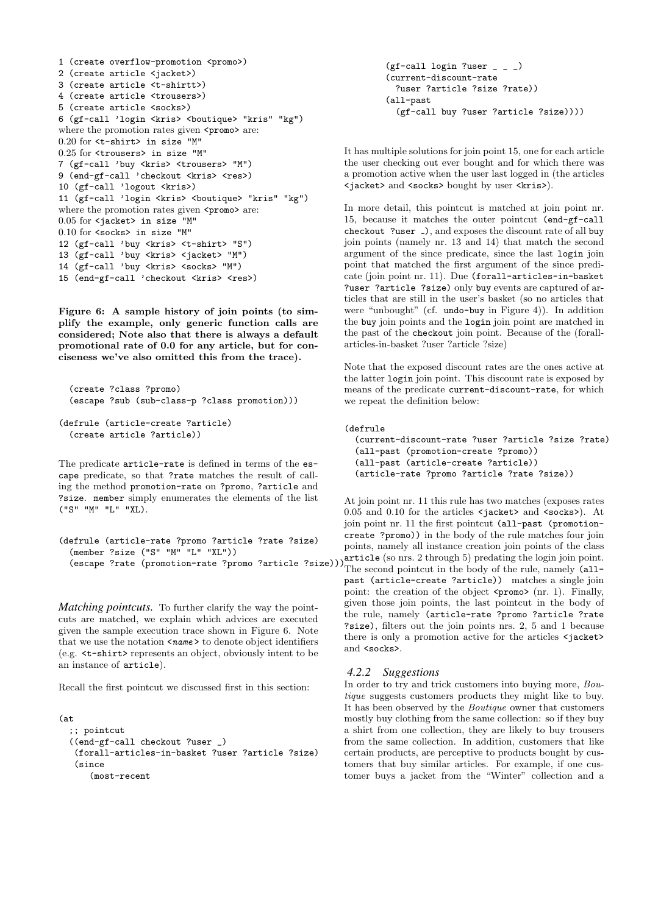```
1 (create overflow-promotion <promo>)
2 (create article <jacket>)
3 (create article <t-shirtt>)
4 (create article <trousers>)
5 (create article <socks>)
6 (gf-call 'login <kris> <boutique> "kris" "kg")
where the promotion rates given <promo> are:
0.20 for <t-shirt> in size "M"
0.25 for <trousers> in size "M"
7 (gf-call 'buy <kris> <trousers> "M")
9 (end-gf-call 'checkout <kris> <res>)
10 (gf-call 'logout <kris>)
11 (gf-call 'login <kris> <br/> <br/> <br/> <br/> <br/>" <br/> <br/>" "kg")
where the promotion rates given <promo> are:
0.05 for <jacket> in size "M"
0.10 for <socks> in size "M"
12 (gf-call 'buy <kris> <t-shirt> "S")
13 (gf-call 'buy <kris> <jacket> "M")
14 (gf-call 'buy <kris> <socks> "M")
15 (end-gf-call 'checkout <kris> <res>)
```
Figure 6: A sample history of join points (to simplify the example, only generic function calls are considered; Note also that there is always a default promotional rate of 0.0 for any article, but for conciseness we've also omitted this from the trace).

```
(create ?class ?promo)
  (escape ?sub (sub-class-p ?class promotion)))
(defrule (article-create ?article)
  (create article ?article))
```
The predicate article-rate is defined in terms of the escape predicate, so that ?rate matches the result of calling the method promotion-rate on ?promo, ?article and ?size. member simply enumerates the elements of the list ("S" "M" "L" "XL).

```
(defrule (article-rate ?promo ?article ?rate ?size)
  (member ?size ("S" "M" "L" "XL"))
  (escape ?rate (promotion-rate ?promo ?article ?size)))
```
*Matching pointcuts.* To further clarify the way the pointcuts are matched, we explain which advices are executed given the sample execution trace shown in Figure 6. Note that we use the notation <name> to denote object identifiers (e.g. <t-shirt> represents an object, obviously intent to be an instance of article).

Recall the first pointcut we discussed first in this section:

```
(at
 ;; pointcut
 ((end-gf-call checkout ?user _)
  (forall-articles-in-basket ?user ?article ?size)
  (since
      (most-recent
```
 $(gf-call login ?user _ - )$ (current-discount-rate ?user ?article ?size ?rate)) (all-past (gf-call buy ?user ?article ?size))))

It has multiple solutions for join point 15, one for each article the user checking out ever bought and for which there was a promotion active when the user last logged in (the articles <jacket> and <socks> bought by user <kris>).

In more detail, this pointcut is matched at join point nr. 15, because it matches the outer pointcut (end-gf-call checkout ?user ), and exposes the discount rate of all buy join points (namely nr. 13 and 14) that match the second argument of the since predicate, since the last login join point that matched the first argument of the since predicate (join point nr. 11). Due (forall-articles-in-basket ?user ?article ?size) only buy events are captured of articles that are still in the user's basket (so no articles that were "unbought" (cf. undo-buy in Figure 4)). In addition the buy join points and the login join point are matched in the past of the checkout join point. Because of the (forallarticles-in-basket ?user ?article ?size)

Note that the exposed discount rates are the ones active at the latter login join point. This discount rate is exposed by means of the predicate current-discount-rate, for which we repeat the definition below:

(defrule

```
(current-discount-rate ?user ?article ?size ?rate)
(all-past (promotion-create ?promo))
(all-past (article-create ?article))
(article-rate ?promo ?article ?rate ?size))
```
At join point nr. 11 this rule has two matches (exposes rates 0.05 and 0.10 for the articles <jacket> and <socks>). At join point nr. 11 the first pointcut (all-past (promotioncreate ?promo)) in the body of the rule matches four join points, namely all instance creation join points of the class article (so nrs. 2 through 5) predating the login join point. The second pointcut in the body of the rule, namely (allpast (article-create ?article)) matches a single join point: the creation of the object  $\epsilon$ promo> (nr. 1). Finally, given those join points, the last pointcut in the body of the rule, namely (article-rate ?promo ?article ?rate ?size), filters out the join points nrs. 2, 5 and 1 because there is only a promotion active for the articles <jacket> and <socks>.

### *4.2.2 Suggestions*

In order to try and trick customers into buying more, Boutique suggests customers products they might like to buy. It has been observed by the Boutique owner that customers mostly buy clothing from the same collection: so if they buy a shirt from one collection, they are likely to buy trousers from the same collection. In addition, customers that like certain products, are perceptive to products bought by customers that buy similar articles. For example, if one customer buys a jacket from the "Winter" collection and a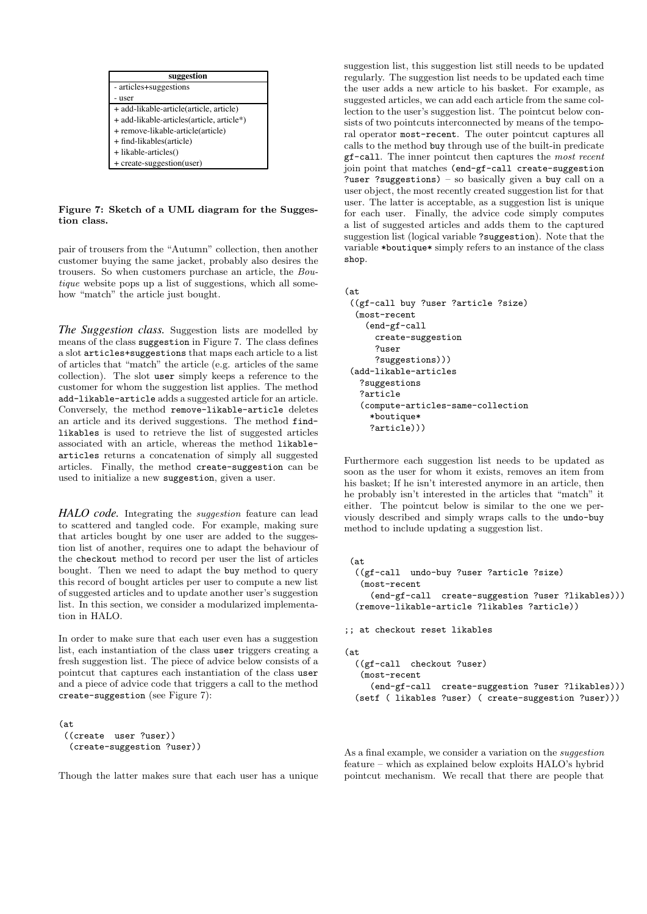| suggestion                                |  |  |
|-------------------------------------------|--|--|
| - articles+suggestions                    |  |  |
| - user                                    |  |  |
| + add-likable-article(article, article)   |  |  |
| + add-likable-articles(article, article*) |  |  |
| + remove-likable-article(article)         |  |  |
| + find-likables(article)                  |  |  |
| + likable-articles()                      |  |  |
| + create-suggestion(user)                 |  |  |

#### Figure 7: Sketch of a UML diagram for the Suggestion class.

pair of trousers from the "Autumn" collection, then another customer buying the same jacket, probably also desires the trousers. So when customers purchase an article, the Boutique website pops up a list of suggestions, which all somehow "match" the article just bought.

*The Suggestion class.* Suggestion lists are modelled by means of the class suggestion in Figure 7. The class defines a slot articles+suggestions that maps each article to a list of articles that "match" the article (e.g. articles of the same collection). The slot user simply keeps a reference to the customer for whom the suggestion list applies. The method add-likable-article adds a suggested article for an article. Conversely, the method remove-likable-article deletes an article and its derived suggestions. The method findlikables is used to retrieve the list of suggested articles associated with an article, whereas the method likablearticles returns a concatenation of simply all suggested articles. Finally, the method create-suggestion can be used to initialize a new suggestion, given a user.

*HALO code.* Integrating the *suggestion* feature can lead to scattered and tangled code. For example, making sure that articles bought by one user are added to the suggestion list of another, requires one to adapt the behaviour of the checkout method to record per user the list of articles bought. Then we need to adapt the buy method to query this record of bought articles per user to compute a new list of suggested articles and to update another user's suggestion list. In this section, we consider a modularized implementation in HALO.

In order to make sure that each user even has a suggestion list, each instantiation of the class user triggers creating a fresh suggestion list. The piece of advice below consists of a pointcut that captures each instantiation of the class user and a piece of advice code that triggers a call to the method create-suggestion (see Figure 7):

```
(at
 ((create user ?user))
  (create-suggestion ?user))
```
Though the latter makes sure that each user has a unique

suggestion list, this suggestion list still needs to be updated regularly. The suggestion list needs to be updated each time the user adds a new article to his basket. For example, as suggested articles, we can add each article from the same collection to the user's suggestion list. The pointcut below consists of two pointcuts interconnected by means of the temporal operator most-recent. The outer pointcut captures all calls to the method buy through use of the built-in predicate gf-call. The inner pointcut then captures the most recent join point that matches (end-gf-call create-suggestion ?user ?suggestions) – so basically given a buy call on a user object, the most recently created suggestion list for that user. The latter is acceptable, as a suggestion list is unique for each user. Finally, the advice code simply computes a list of suggested articles and adds them to the captured suggestion list (logical variable ?suggestion). Note that the variable \*boutique\* simply refers to an instance of the class shop.

(at

```
((gf-call buy ?user ?article ?size)
 (most-recent
   (end-gf-call
     create-suggestion
     ?user
     ?suggestions)))
(add-likable-articles
 ?suggestions
 ?article
  (compute-articles-same-collection
    *boutique*
   ?article)))
```
Furthermore each suggestion list needs to be updated as soon as the user for whom it exists, removes an item from his basket; If he isn't interested anymore in an article, then he probably isn't interested in the articles that "match" it either. The pointcut below is similar to the one we perviously described and simply wraps calls to the undo-buy method to include updating a suggestion list.

```
(at
  ((gf-call undo-buy ?user ?article ?size)
   (most-recent
     (end-gf-call create-suggestion ?user ?likables)))
  (remove-likable-article ?likables ?article))
;; at checkout reset likables
(at)((gf-call checkout ?user)
   (most-recent
     (end-gf-call create-suggestion ?user ?likables)))
```
(setf ( likables ?user) ( create-suggestion ?user)))

As a final example, we consider a variation on the suggestion feature – which as explained below exploits HALO's hybrid pointcut mechanism. We recall that there are people that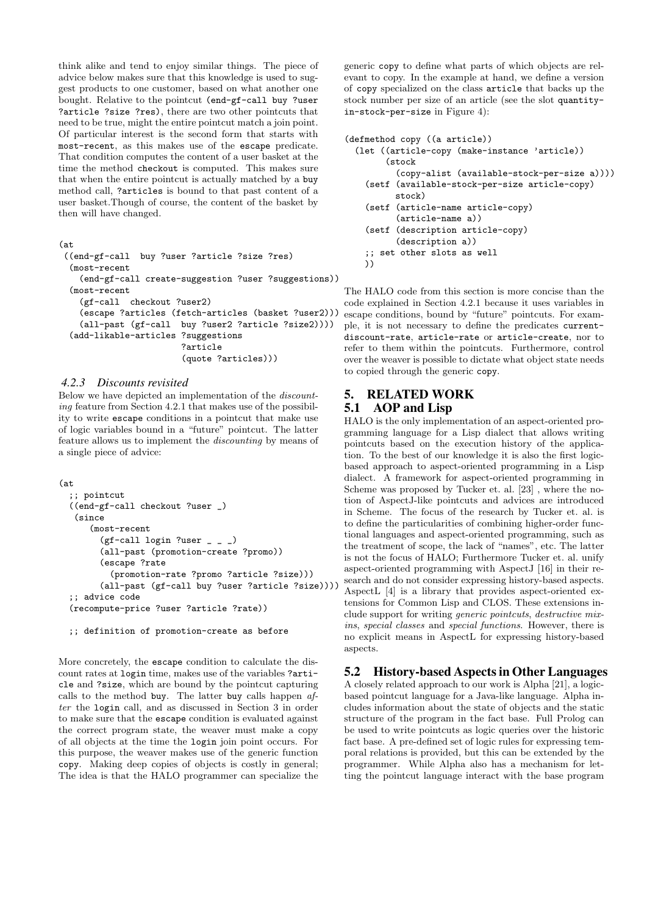think alike and tend to enjoy similar things. The piece of advice below makes sure that this knowledge is used to suggest products to one customer, based on what another one bought. Relative to the pointcut (end-gf-call buy ?user ?article ?size ?res), there are two other pointcuts that need to be true, might the entire pointcut match a join point. Of particular interest is the second form that starts with most-recent, as this makes use of the escape predicate. That condition computes the content of a user basket at the time the method checkout is computed. This makes sure that when the entire pointcut is actually matched by a buy method call, ?articles is bound to that past content of a user basket.Though of course, the content of the basket by then will have changed.

```
(at
 ((end-gf-call buy ?user ?article ?size ?res)
  (most-recent
    (end-gf-call create-suggestion ?user ?suggestions))
  (most-recent
    (gf-call checkout ?user2)
    (escape ?articles (fetch-articles (basket ?user2)))
    (all-past (gf-call buy ?user2 ?article ?size2))))
  (add-likable-articles ?suggestions
                        ?article
                        (quote ?articles)))
```
#### *4.2.3 Discounts revisited*

Below we have depicted an implementation of the discounting feature from Section 4.2.1 that makes use of the possibility to write escape conditions in a pointcut that make use of logic variables bound in a "future" pointcut. The latter feature allows us to implement the discounting by means of a single piece of advice:

#### (at

```
;; pointcut
((end-gf-call checkout ?user _)
 (since
    (most-recent
      (gf-call login ?user _ _ _)
      (all-past (promotion-create ?promo))
      (escape ?rate
        (promotion-rate ?promo ?article ?size)))
      (all-past (gf-call buy ?user ?article ?size))))
;; advice code
(recompute-price ?user ?article ?rate))
```
;; definition of promotion-create as before

More concretely, the escape condition to calculate the discount rates at login time, makes use of the variables ?article and ?size, which are bound by the pointcut capturing calls to the method buy. The latter buy calls happen after the login call, and as discussed in Section 3 in order to make sure that the escape condition is evaluated against the correct program state, the weaver must make a copy of all objects at the time the login join point occurs. For this purpose, the weaver makes use of the generic function copy. Making deep copies of objects is costly in general; The idea is that the HALO programmer can specialize the

generic copy to define what parts of which objects are relevant to copy. In the example at hand, we define a version of copy specialized on the class article that backs up the stock number per size of an article (see the slot quantityin-stock-per-size in Figure 4):

```
(defmethod copy ((a article))
  (let ((article-copy (make-instance 'article))
        (stock
          (copy-alist (available-stock-per-size a))))
    (setf (available-stock-per-size article-copy)
          stock)
    (setf (article-name article-copy)
          (article-name a))
    (setf (description article-copy)
          (description a))
    ;; set other slots as well
   ))
```
The HALO code from this section is more concise than the code explained in Section 4.2.1 because it uses variables in escape conditions, bound by "future" pointcuts. For example, it is not necessary to define the predicates currentdiscount-rate, article-rate or article-create, nor to refer to them within the pointcuts. Furthermore, control over the weaver is possible to dictate what object state needs to copied through the generic copy.

# 5. RELATED WORK 5.1 AOP and Lisp

HALO is the only implementation of an aspect-oriented programming language for a Lisp dialect that allows writing pointcuts based on the execution history of the application. To the best of our knowledge it is also the first logicbased approach to aspect-oriented programming in a Lisp dialect. A framework for aspect-oriented programming in Scheme was proposed by Tucker et. al. [23] , where the notion of AspectJ-like pointcuts and advices are introduced in Scheme. The focus of the research by Tucker et. al. is to define the particularities of combining higher-order functional languages and aspect-oriented programming, such as the treatment of scope, the lack of "names", etc. The latter is not the focus of HALO; Furthermore Tucker et. al. unify aspect-oriented programming with AspectJ [16] in their research and do not consider expressing history-based aspects. AspectL [4] is a library that provides aspect-oriented extensions for Common Lisp and CLOS. These extensions include support for writing generic pointcuts, destructive mixins, special classes and special functions. However, there is no explicit means in AspectL for expressing history-based aspects.

### 5.2 History-based Aspects in Other Languages

A closely related approach to our work is Alpha [21], a logicbased pointcut language for a Java-like language. Alpha includes information about the state of objects and the static structure of the program in the fact base. Full Prolog can be used to write pointcuts as logic queries over the historic fact base. A pre-defined set of logic rules for expressing temporal relations is provided, but this can be extended by the programmer. While Alpha also has a mechanism for letting the pointcut language interact with the base program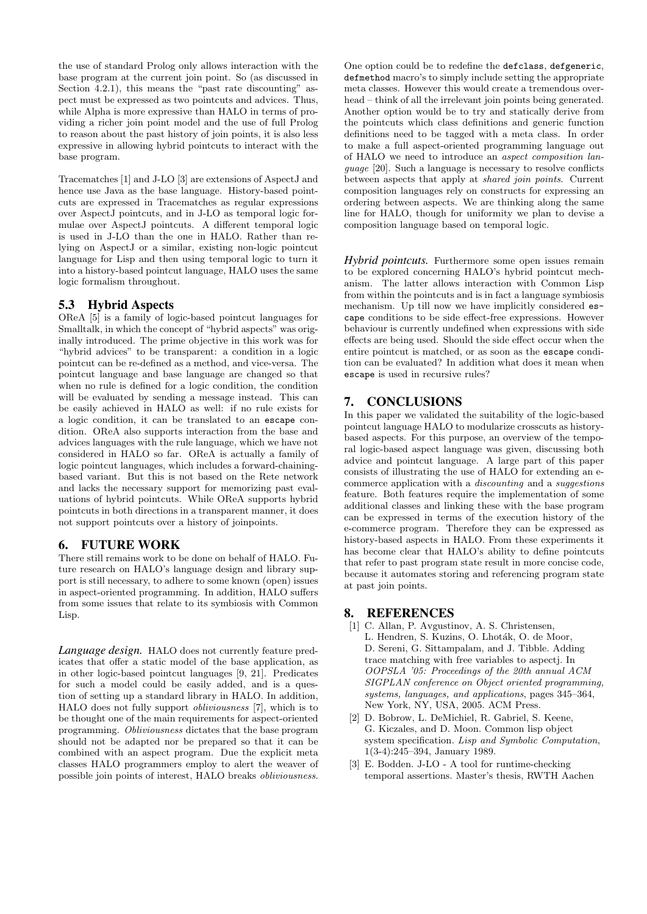the use of standard Prolog only allows interaction with the base program at the current join point. So (as discussed in Section 4.2.1), this means the "past rate discounting" aspect must be expressed as two pointcuts and advices. Thus, while Alpha is more expressive than HALO in terms of providing a richer join point model and the use of full Prolog to reason about the past history of join points, it is also less expressive in allowing hybrid pointcuts to interact with the base program.

Tracematches [1] and J-LO [3] are extensions of AspectJ and hence use Java as the base language. History-based pointcuts are expressed in Tracematches as regular expressions over AspectJ pointcuts, and in J-LO as temporal logic formulae over AspectJ pointcuts. A different temporal logic is used in J-LO than the one in HALO. Rather than relying on AspectJ or a similar, existing non-logic pointcut language for Lisp and then using temporal logic to turn it into a history-based pointcut language, HALO uses the same logic formalism throughout.

### 5.3 Hybrid Aspects

OReA [5] is a family of logic-based pointcut languages for Smalltalk, in which the concept of "hybrid aspects" was originally introduced. The prime objective in this work was for "hybrid advices" to be transparent: a condition in a logic pointcut can be re-defined as a method, and vice-versa. The pointcut language and base language are changed so that when no rule is defined for a logic condition, the condition will be evaluated by sending a message instead. This can be easily achieved in HALO as well: if no rule exists for a logic condition, it can be translated to an escape condition. OReA also supports interaction from the base and advices languages with the rule language, which we have not considered in HALO so far. OReA is actually a family of logic pointcut languages, which includes a forward-chainingbased variant. But this is not based on the Rete network and lacks the necessary support for memorizing past evaluations of hybrid pointcuts. While OReA supports hybrid pointcuts in both directions in a transparent manner, it does not support pointcuts over a history of joinpoints.

# 6. FUTURE WORK

There still remains work to be done on behalf of HALO. Future research on HALO's language design and library support is still necessary, to adhere to some known (open) issues in aspect-oriented programming. In addition, HALO suffers from some issues that relate to its symbiosis with Common Lisp.

*Language design.* HALO does not currently feature predicates that offer a static model of the base application, as in other logic-based pointcut languages [9, 21]. Predicates for such a model could be easily added, and is a question of setting up a standard library in HALO. In addition, HALO does not fully support obliviousness [7], which is to be thought one of the main requirements for aspect-oriented programming. Obliviousness dictates that the base program should not be adapted nor be prepared so that it can be combined with an aspect program. Due the explicit meta classes HALO programmers employ to alert the weaver of possible join points of interest, HALO breaks obliviousness.

One option could be to redefine the defclass, defgeneric, defmethod macro's to simply include setting the appropriate meta classes. However this would create a tremendous overhead – think of all the irrelevant join points being generated. Another option would be to try and statically derive from the pointcuts which class definitions and generic function definitions need to be tagged with a meta class. In order to make a full aspect-oriented programming language out of HALO we need to introduce an aspect composition language [20]. Such a language is necessary to resolve conflicts between aspects that apply at shared join points. Current composition languages rely on constructs for expressing an ordering between aspects. We are thinking along the same line for HALO, though for uniformity we plan to devise a composition language based on temporal logic.

*Hybrid pointcuts.* Furthermore some open issues remain to be explored concerning HALO's hybrid pointcut mechanism. The latter allows interaction with Common Lisp from within the pointcuts and is in fact a language symbiosis mechanism. Up till now we have implicitly considered escape conditions to be side effect-free expressions. However behaviour is currently undefined when expressions with side effects are being used. Should the side effect occur when the entire pointcut is matched, or as soon as the escape condition can be evaluated? In addition what does it mean when escape is used in recursive rules?

# 7. CONCLUSIONS

In this paper we validated the suitability of the logic-based pointcut language HALO to modularize crosscuts as historybased aspects. For this purpose, an overview of the temporal logic-based aspect language was given, discussing both advice and pointcut language. A large part of this paper consists of illustrating the use of HALO for extending an ecommerce application with a discounting and a suggestions feature. Both features require the implementation of some additional classes and linking these with the base program can be expressed in terms of the execution history of the e-commerce program. Therefore they can be expressed as history-based aspects in HALO. From these experiments it has become clear that HALO's ability to define pointcuts that refer to past program state result in more concise code, because it automates storing and referencing program state at past join points.

### 8. REFERENCES

- [1] C. Allan, P. Avgustinov, A. S. Christensen, L. Hendren, S. Kuzins, O. Lhoták, O. de Moor, D. Sereni, G. Sittampalam, and J. Tibble. Adding trace matching with free variables to aspectj. In OOPSLA '05: Proceedings of the 20th annual ACM SIGPLAN conference on Object oriented programming, systems, languages, and applications, pages 345–364, New York, NY, USA, 2005. ACM Press.
- [2] D. Bobrow, L. DeMichiel, R. Gabriel, S. Keene, G. Kiczales, and D. Moon. Common lisp object system specification. Lisp and Symbolic Computation, 1(3-4):245–394, January 1989.
- [3] E. Bodden. J-LO A tool for runtime-checking temporal assertions. Master's thesis, RWTH Aachen